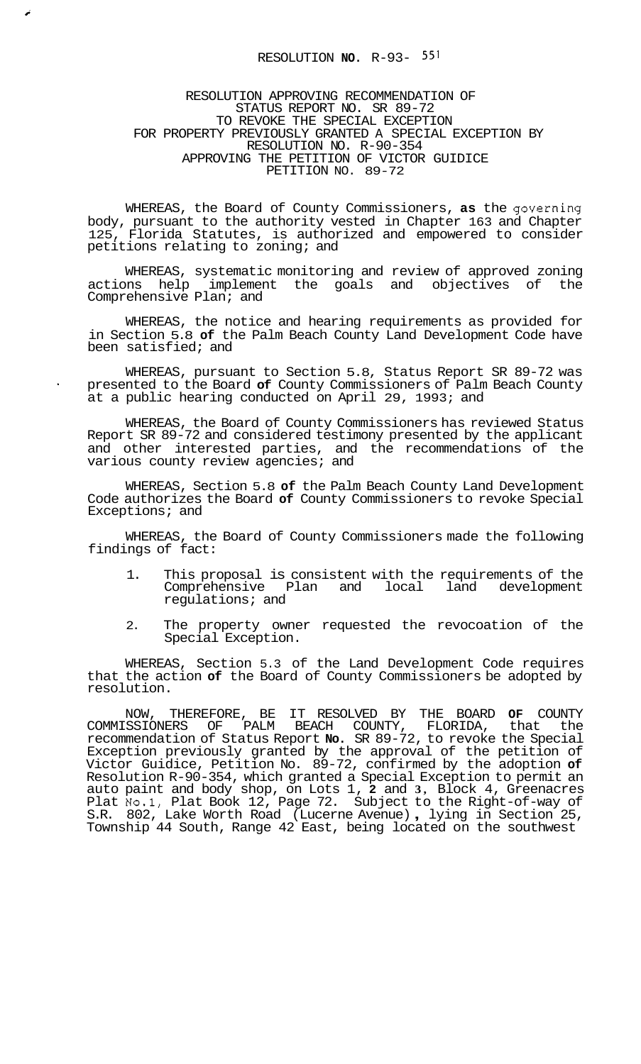## RESOLUTION **NO.** R-93- **55'**

**c** 

RESOLUTION APPROVING RECOMMENDATION OF STATUS REPORT NO. SR 89-72 TO REVOKE THE SPECIAL EXCEPTION RESOLUTION NO. R-90-354 APPROVING THE PETITION OF VICTOR GUIDICE PETITION NO. 89-72 FOR PROPERTY PREVIOUSLY GRANTED A SPECIAL EXCEPTION BY

WHEREAS, the Board of County Commissioners, **as** the governing body, pursuant to the authority vested in Chapter 163 and Chapter 125, Florida Statutes, is authorized and empowered to consider petitions relating to zoning; and

WHEREAS, systematic monitoring and review of approved zoning actions help implement the goals and objectives of the Comprehensive Plan; and

WHEREAS, the notice and hearing requirements as provided for in Section 5.8 **of** the Palm Beach County Land Development Code have been satisfied; and

WHEREAS, pursuant to Section 5.8, Status Report SR 89-72 was presented to the Board **of** County Commissioners of Palm Beach County at a public hearing conducted on April 29, 1993; and

WHEREAS, the Board of County Commissioners has reviewed Status Report SR 89-72 and considered testimony presented by the applicant and other interested parties, and the recommendations of the various county review agencies; and

WHEREAS, Section 5.8 **of** the Palm Beach County Land Development Code authorizes the Board **of** County Commissioners to revoke Special Exceptions; and

WHEREAS, the Board of County Commissioners made the following findings of fact:

- 1. This proposal is consistent with the requirements of the<br>Comprehensive Plan and local land development Comprehensive Plan regulations; and
- 2. The property owner requested the revocoation of the Special Exception.

WHEREAS, Section 5.3 of the Land Development Code requires that the action **of** the Board of County Commissioners be adopted by resolution.

NOW, THEREFORE, BE IT RESOLVED BY THE BOARD **OF** COUNTY COMMISSIONERS OF PALM BEACH COUNTY, FLORIDA, that the recommendation of Status Report **No.** SR 89-72, to revoke the Special Exception previously granted by the approval of the petition of Victor Guidice, Petition No. 89-72, confirmed by the adoption **of**  Resolution R-90-354, which granted a Special Exception to permit an auto paint and body shop, on Lots 1, **2** and **3,** Block 4, Greenacres Plat No.1, Plat Book 12, Page 72. Subject to the Right-of-way of S.R. 802, Lake Worth Road (Lucerne Avenue) , lying in Section 25, Township 44 South, Range 42 East, being located on the southwest